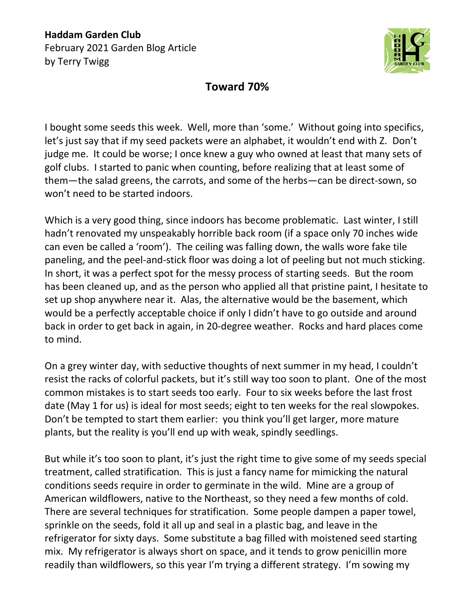**Haddam Garden Club** February 2021 Garden Blog Article by Terry Twigg



## **Toward 70%**

I bought some seeds this week. Well, more than 'some.' Without going into specifics, let's just say that if my seed packets were an alphabet, it wouldn't end with Z. Don't judge me. It could be worse; I once knew a guy who owned at least that many sets of golf clubs. I started to panic when counting, before realizing that at least some of them—the salad greens, the carrots, and some of the herbs—can be direct-sown, so won't need to be started indoors.

Which is a very good thing, since indoors has become problematic. Last winter, I still hadn't renovated my unspeakably horrible back room (if a space only 70 inches wide can even be called a 'room'). The ceiling was falling down, the walls wore fake tile paneling, and the peel-and-stick floor was doing a lot of peeling but not much sticking. In short, it was a perfect spot for the messy process of starting seeds. But the room has been cleaned up, and as the person who applied all that pristine paint, I hesitate to set up shop anywhere near it. Alas, the alternative would be the basement, which would be a perfectly acceptable choice if only I didn't have to go outside and around back in order to get back in again, in 20-degree weather. Rocks and hard places come to mind.

On a grey winter day, with seductive thoughts of next summer in my head, I couldn't resist the racks of colorful packets, but it's still way too soon to plant. One of the most common mistakes is to start seeds too early. Four to six weeks before the last frost date (May 1 for us) is ideal for most seeds; eight to ten weeks for the real slowpokes. Don't be tempted to start them earlier: you think you'll get larger, more mature plants, but the reality is you'll end up with weak, spindly seedlings.

But while it's too soon to plant, it's just the right time to give some of my seeds special treatment, called stratification. This is just a fancy name for mimicking the natural conditions seeds require in order to germinate in the wild. Mine are a group of American wildflowers, native to the Northeast, so they need a few months of cold. There are several techniques for stratification. Some people dampen a paper towel, sprinkle on the seeds, fold it all up and seal in a plastic bag, and leave in the refrigerator for sixty days. Some substitute a bag filled with moistened seed starting mix. My refrigerator is always short on space, and it tends to grow penicillin more readily than wildflowers, so this year I'm trying a different strategy. I'm sowing my